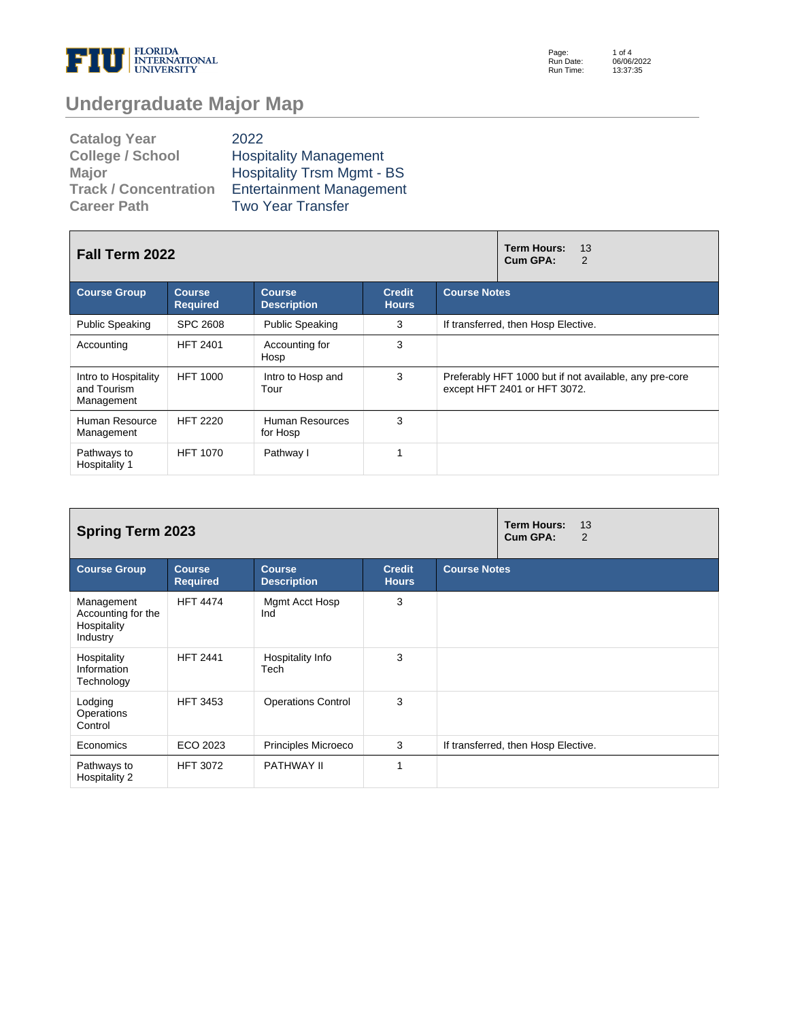

Page: Run Date: Run Time: 1 of 4 06/06/2022 13:37:35

# **Undergraduate Major Map**

| <b>Catalog Year</b>          | 2022                              |
|------------------------------|-----------------------------------|
| <b>College / School</b>      | <b>Hospitality Management</b>     |
| <b>Major</b>                 | <b>Hospitality Trsm Mgmt - BS</b> |
| <b>Track / Concentration</b> | <b>Entertainment Management</b>   |
| <b>Career Path</b>           | <b>Two Year Transfer</b>          |

| Fall Term 2022                                    |                                  |                                     |                               | <b>Term Hours:</b><br>13<br>Cum GPA:<br>2                                              |  |  |
|---------------------------------------------------|----------------------------------|-------------------------------------|-------------------------------|----------------------------------------------------------------------------------------|--|--|
| <b>Course Group</b>                               | <b>Course</b><br><b>Required</b> | <b>Course</b><br><b>Description</b> | <b>Credit</b><br><b>Hours</b> | <b>Course Notes</b>                                                                    |  |  |
| <b>Public Speaking</b>                            | SPC 2608                         | <b>Public Speaking</b>              | 3                             | If transferred, then Hosp Elective.                                                    |  |  |
| Accounting                                        | <b>HFT 2401</b>                  | Accounting for<br>Hosp              | 3                             |                                                                                        |  |  |
| Intro to Hospitality<br>and Tourism<br>Management | <b>HFT 1000</b>                  | Intro to Hosp and<br>Tour           | 3                             | Preferably HFT 1000 but if not available, any pre-core<br>except HFT 2401 or HFT 3072. |  |  |
| Human Resource<br>Management                      | <b>HFT 2220</b>                  | Human Resources<br>for Hosp         | 3                             |                                                                                        |  |  |
| Pathways to<br>Hospitality 1                      | <b>HFT 1070</b>                  | Pathway I                           | 1                             |                                                                                        |  |  |

| <b>Spring Term 2023</b>                                     |                                  |                                     |                               | <b>Term Hours:</b><br>13<br>Cum GPA:<br>2 |                                     |
|-------------------------------------------------------------|----------------------------------|-------------------------------------|-------------------------------|-------------------------------------------|-------------------------------------|
| <b>Course Group</b>                                         | <b>Course</b><br><b>Required</b> | <b>Course</b><br><b>Description</b> | <b>Credit</b><br><b>Hours</b> | <b>Course Notes</b>                       |                                     |
| Management<br>Accounting for the<br>Hospitality<br>Industry | <b>HFT 4474</b>                  | Mgmt Acct Hosp<br>Ind               | 3                             |                                           |                                     |
| Hospitality<br>Information<br>Technology                    | <b>HFT 2441</b>                  | Hospitality Info<br>Tech            | 3                             |                                           |                                     |
| Lodging<br>Operations<br>Control                            | <b>HFT 3453</b>                  | <b>Operations Control</b>           | 3                             |                                           |                                     |
| Economics                                                   | ECO 2023                         | Principles Microeco                 | 3                             |                                           | If transferred, then Hosp Elective. |
| Pathways to<br>Hospitality 2                                | <b>HFT 3072</b>                  | PATHWAY II                          | 1                             |                                           |                                     |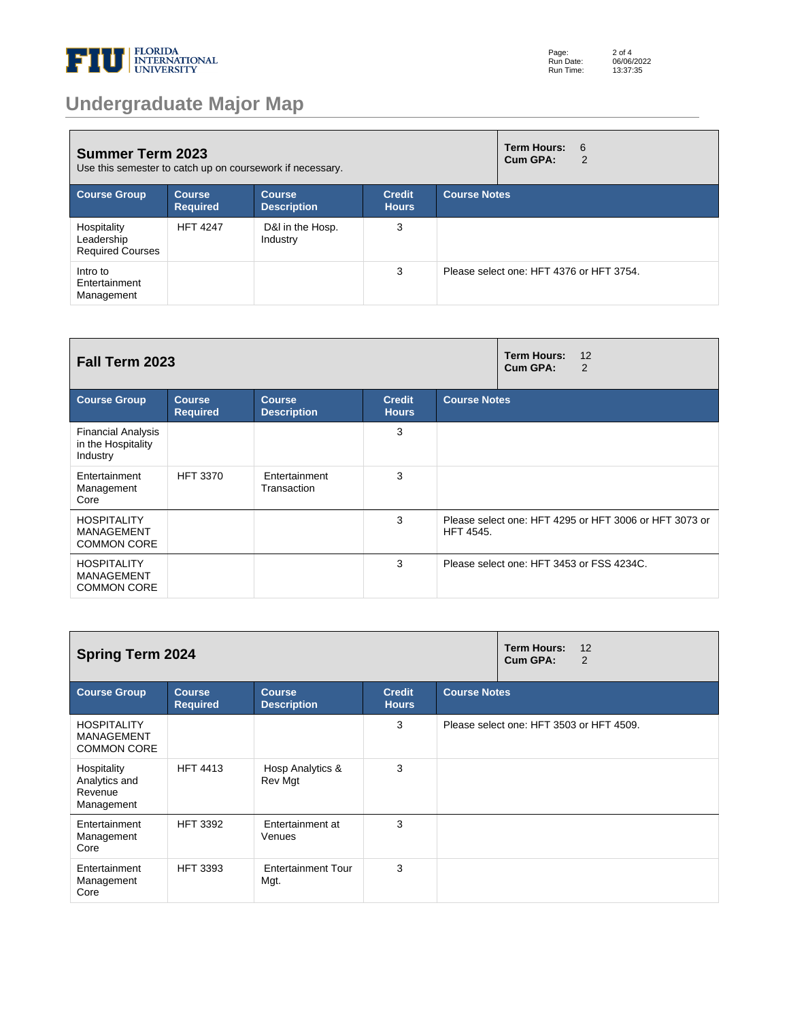

# **Undergraduate Major Map**

| <b>Summer Term 2023</b><br>Use this semester to catch up on coursework if necessary. |                           |                              |                               | <b>Term Hours:</b><br>- 6<br>Cum GPA:<br>2 |                                          |  |
|--------------------------------------------------------------------------------------|---------------------------|------------------------------|-------------------------------|--------------------------------------------|------------------------------------------|--|
| <b>Course Group</b>                                                                  | Course<br><b>Required</b> | Course<br><b>Description</b> | <b>Credit</b><br><b>Hours</b> | <b>Course Notes</b>                        |                                          |  |
| Hospitality<br>Leadership<br><b>Required Courses</b>                                 | <b>HFT 4247</b>           | D&I in the Hosp.<br>Industry | 3                             |                                            |                                          |  |
| Intro to<br>Entertainment<br>Management                                              |                           |                              | 3                             |                                            | Please select one: HFT 4376 or HFT 3754. |  |

| Fall Term 2023                                                |                            |                                     |                               | <b>Term Hours:</b><br>12<br>Cum GPA:<br>2 |                                                        |  |
|---------------------------------------------------------------|----------------------------|-------------------------------------|-------------------------------|-------------------------------------------|--------------------------------------------------------|--|
| <b>Course Group</b>                                           | Course.<br><b>Required</b> | <b>Course</b><br><b>Description</b> | <b>Credit</b><br><b>Hours</b> | <b>Course Notes</b>                       |                                                        |  |
| <b>Financial Analysis</b><br>in the Hospitality<br>Industry   |                            |                                     | 3                             |                                           |                                                        |  |
| Entertainment<br>Management<br>Core                           | <b>HFT 3370</b>            | Entertainment<br>Transaction        | 3                             |                                           |                                                        |  |
| <b>HOSPITALITY</b><br><b>MANAGEMENT</b><br><b>COMMON CORE</b> |                            |                                     | 3                             | <b>HFT 4545.</b>                          | Please select one: HFT 4295 or HFT 3006 or HFT 3073 or |  |
| <b>HOSPITALITY</b><br><b>MANAGEMENT</b><br><b>COMMON CORE</b> |                            |                                     | 3                             |                                           | Please select one: HFT 3453 or FSS 4234C.              |  |

| <b>Spring Term 2024</b>                                       |                                  |                                     |                               | Term Hours:<br>12<br>Cum GPA:<br>2 |                                          |
|---------------------------------------------------------------|----------------------------------|-------------------------------------|-------------------------------|------------------------------------|------------------------------------------|
| <b>Course Group</b>                                           | <b>Course</b><br><b>Required</b> | <b>Course</b><br><b>Description</b> | <b>Credit</b><br><b>Hours</b> | <b>Course Notes</b>                |                                          |
| <b>HOSPITALITY</b><br><b>MANAGEMENT</b><br><b>COMMON CORE</b> |                                  |                                     | 3                             |                                    | Please select one: HFT 3503 or HFT 4509. |
| Hospitality<br>Analytics and<br>Revenue<br>Management         | <b>HFT 4413</b>                  | Hosp Analytics &<br>Rev Mgt         | 3                             |                                    |                                          |
| Entertainment<br>Management<br>Core                           | <b>HFT 3392</b>                  | Entertainment at<br>Venues          | 3                             |                                    |                                          |
| Entertainment<br>Management<br>Core                           | <b>HFT 3393</b>                  | <b>Entertainment Tour</b><br>Mgt.   | 3                             |                                    |                                          |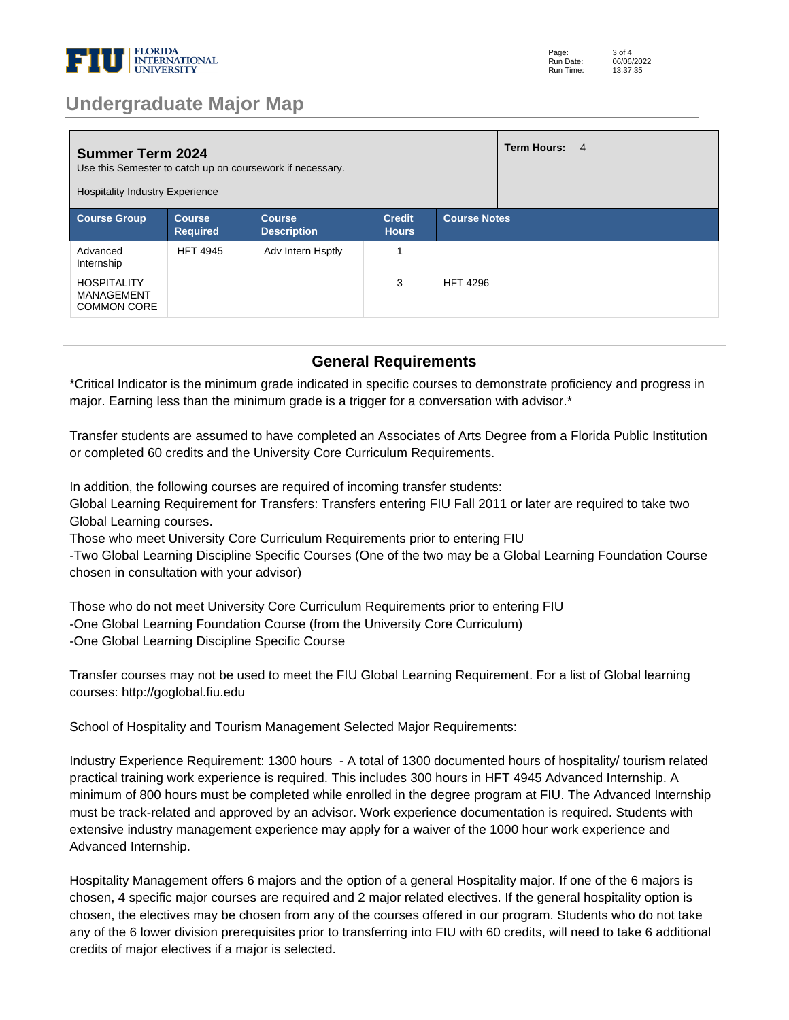

### **Undergraduate Major Map**

| <b>Summer Term 2024</b><br>Use this Semester to catch up on coursework if necessary.<br><b>Hospitality Industry Experience</b> |                                  |                                     |                               | Term Hours: 4       |  |
|--------------------------------------------------------------------------------------------------------------------------------|----------------------------------|-------------------------------------|-------------------------------|---------------------|--|
| <b>Course Group</b>                                                                                                            | <b>Course</b><br><b>Required</b> | <b>Course</b><br><b>Description</b> | <b>Credit</b><br><b>Hours</b> | <b>Course Notes</b> |  |
| Advanced<br>Internship                                                                                                         | <b>HFT 4945</b>                  | Adv Intern Hsptly                   | 4                             |                     |  |
| <b>HOSPITALITY</b><br>MANAGEMENT<br><b>COMMON CORE</b>                                                                         |                                  |                                     | 3                             | <b>HFT 4296</b>     |  |

#### **General Requirements**

\*Critical Indicator is the minimum grade indicated in specific courses to demonstrate proficiency and progress in major. Earning less than the minimum grade is a trigger for a conversation with advisor.\*

Transfer students are assumed to have completed an Associates of Arts Degree from a Florida Public Institution or completed 60 credits and the University Core Curriculum Requirements. 

In addition, the following courses are required of incoming transfer students: 

Global Learning Requirement for Transfers: Transfers entering FIU Fall 2011 or later are required to take two Global Learning courses. 

Those who meet University Core Curriculum Requirements prior to entering FIU 

-Two Global Learning Discipline Specific Courses (One of the two may be a Global Learning Foundation Course chosen in consultation with your advisor) 

Those who do not meet University Core Curriculum Requirements prior to entering FIU -One Global Learning Foundation Course (from the University Core Curriculum) -One Global Learning Discipline Specific Course 

Transfer courses may not be used to meet the FIU Global Learning Requirement. For a list of Global learning courses: http://goglobal.fiu.edu 

School of Hospitality and Tourism Management Selected Major Requirements: 

Industry Experience Requirement: 1300 hours - A total of 1300 documented hours of hospitality/ tourism related practical training work experience is required. This includes 300 hours in HFT 4945 Advanced Internship. A minimum of 800 hours must be completed while enrolled in the degree program at FIU. The Advanced Internship must be track-related and approved by an advisor. Work experience documentation is required. Students with extensive industry management experience may apply for a waiver of the 1000 hour work experience and Advanced Internship. 

Hospitality Management offers 6 majors and the option of a general Hospitality major. If one of the 6 majors is chosen, 4 specific major courses are required and 2 major related electives. If the general hospitality option is chosen, the electives may be chosen from any of the courses offered in our program. Students who do not take any of the 6 lower division prerequisites prior to transferring into FIU with 60 credits, will need to take 6 additional credits of major electives if a major is selected.